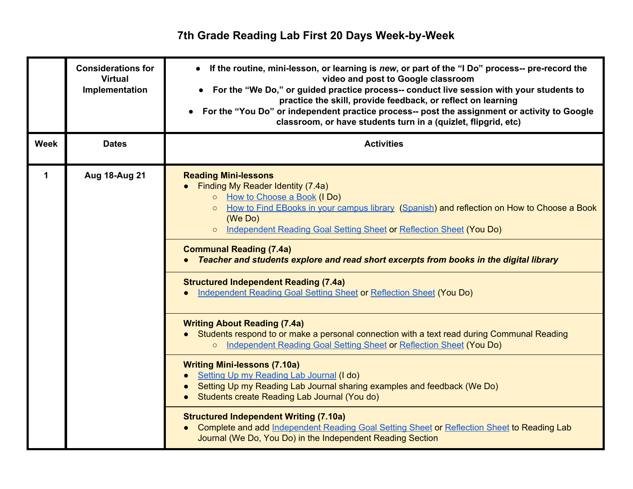## **7th Grade Reading Lab First 20 Days Week-by-Week**

|             | <b>Considerations for</b><br><b>Virtual</b><br>Implementation | If the routine, mini-lesson, or learning is new, or part of the "I Do" process-- pre-record the<br>video and post to Google classroom<br>For the "We Do," or guided practice process-- conduct live session with your students to<br>practice the skill, provide feedback, or reflect on learning<br>For the "You Do" or independent practice process-- post the assignment or activity to Google<br>$\bullet$<br>classroom, or have students turn in a (quizlet, flipgrid, etc)                                                                         |
|-------------|---------------------------------------------------------------|----------------------------------------------------------------------------------------------------------------------------------------------------------------------------------------------------------------------------------------------------------------------------------------------------------------------------------------------------------------------------------------------------------------------------------------------------------------------------------------------------------------------------------------------------------|
| <b>Week</b> | <b>Dates</b>                                                  | <b>Activities</b>                                                                                                                                                                                                                                                                                                                                                                                                                                                                                                                                        |
| 1           | Aug 18-Aug 21                                                 | <b>Reading Mini-lessons</b><br>Finding My Reader Identity (7.4a)<br>How to Choose a Book (I Do)<br>$\circ$<br>How to Find EBooks in your campus library (Spanish) and reflection on How to Choose a Book<br>(We Do)<br>Independent Reading Goal Setting Sheet or Reflection Sheet (You Do)<br>$\circ$<br><b>Communal Reading (7.4a)</b><br>Teacher and students explore and read short excerpts from books in the digital library<br><b>Structured Independent Reading (7.4a)</b><br>Independent Reading Goal Setting Sheet or Reflection Sheet (You Do) |
|             |                                                               | <b>Writing About Reading (7.4a)</b><br>Students respond to or make a personal connection with a text read during Communal Reading<br>Independent Reading Goal Setting Sheet or Reflection Sheet (You Do)<br><b>Writing Mini-lessons (7.10a)</b><br>Setting Up my Reading Lab Journal (I do)<br>Setting Up my Reading Lab Journal sharing examples and feedback (We Do)<br>Students create Reading Lab Journal (You do)                                                                                                                                   |
|             |                                                               | <b>Structured Independent Writing (7.10a)</b><br>Complete and add Independent Reading Goal Setting Sheet or Reflection Sheet to Reading Lab<br>Journal (We Do, You Do) in the Independent Reading Section                                                                                                                                                                                                                                                                                                                                                |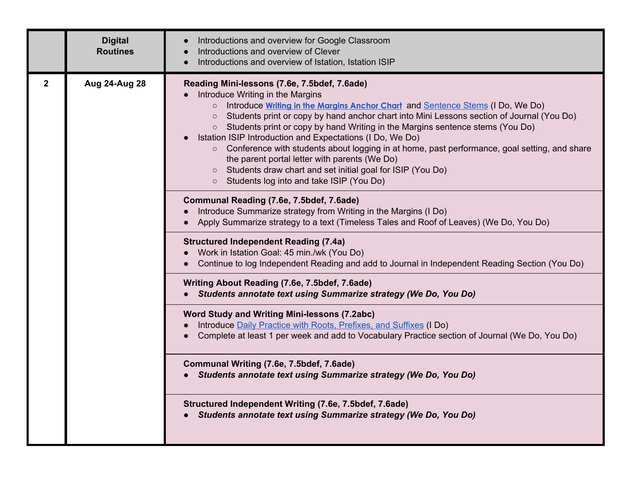|              | <b>Digital</b><br><b>Routines</b> | Introductions and overview for Google Classroom<br>Introductions and overview of Clever<br>Introductions and overview of Istation, Istation ISIP                                                                                                                                                                                                                                                                                                                                                                                                                                                                                                                                              |
|--------------|-----------------------------------|-----------------------------------------------------------------------------------------------------------------------------------------------------------------------------------------------------------------------------------------------------------------------------------------------------------------------------------------------------------------------------------------------------------------------------------------------------------------------------------------------------------------------------------------------------------------------------------------------------------------------------------------------------------------------------------------------|
| $\mathbf{2}$ | Aug 24-Aug 28                     | Reading Mini-lessons (7.6e, 7.5bdef, 7.6ade)<br>Introduce Writing in the Margins<br>o Introduce Writing in the Margins Anchor Chart and Sentence Stems (I Do, We Do)<br>Students print or copy by hand anchor chart into Mini Lessons section of Journal (You Do)<br>$\circ$<br>○ Students print or copy by hand Writing in the Margins sentence stems (You Do)<br>Istation ISIP Introduction and Expectations (I Do, We Do)<br>○ Conference with students about logging in at home, past performance, goal setting, and share<br>the parent portal letter with parents (We Do)<br>o Students draw chart and set initial goal for ISIP (You Do)<br>○ Students log into and take ISIP (You Do) |
|              |                                   | Communal Reading (7.6e, 7.5bdef, 7.6ade)<br>Introduce Summarize strategy from Writing in the Margins (I Do)<br>Apply Summarize strategy to a text (Timeless Tales and Roof of Leaves) (We Do, You Do)                                                                                                                                                                                                                                                                                                                                                                                                                                                                                         |
|              |                                   | <b>Structured Independent Reading (7.4a)</b><br>Work in Istation Goal: 45 min./wk (You Do)<br>Continue to log Independent Reading and add to Journal in Independent Reading Section (You Do)                                                                                                                                                                                                                                                                                                                                                                                                                                                                                                  |
|              |                                   | Writing About Reading (7.6e, 7.5bdef, 7.6ade)<br>Students annotate text using Summarize strategy (We Do, You Do)                                                                                                                                                                                                                                                                                                                                                                                                                                                                                                                                                                              |
|              |                                   | <b>Word Study and Writing Mini-lessons (7.2abc)</b><br>Introduce Daily Practice with Roots, Prefixes, and Suffixes (I Do)<br>Complete at least 1 per week and add to Vocabulary Practice section of Journal (We Do, You Do)                                                                                                                                                                                                                                                                                                                                                                                                                                                                   |
|              |                                   | Communal Writing (7.6e, 7.5bdef, 7.6ade)<br>Students annotate text using Summarize strategy (We Do, You Do)                                                                                                                                                                                                                                                                                                                                                                                                                                                                                                                                                                                   |
|              |                                   | Structured Independent Writing (7.6e, 7.5bdef, 7.6ade)<br>Students annotate text using Summarize strategy (We Do, You Do)                                                                                                                                                                                                                                                                                                                                                                                                                                                                                                                                                                     |